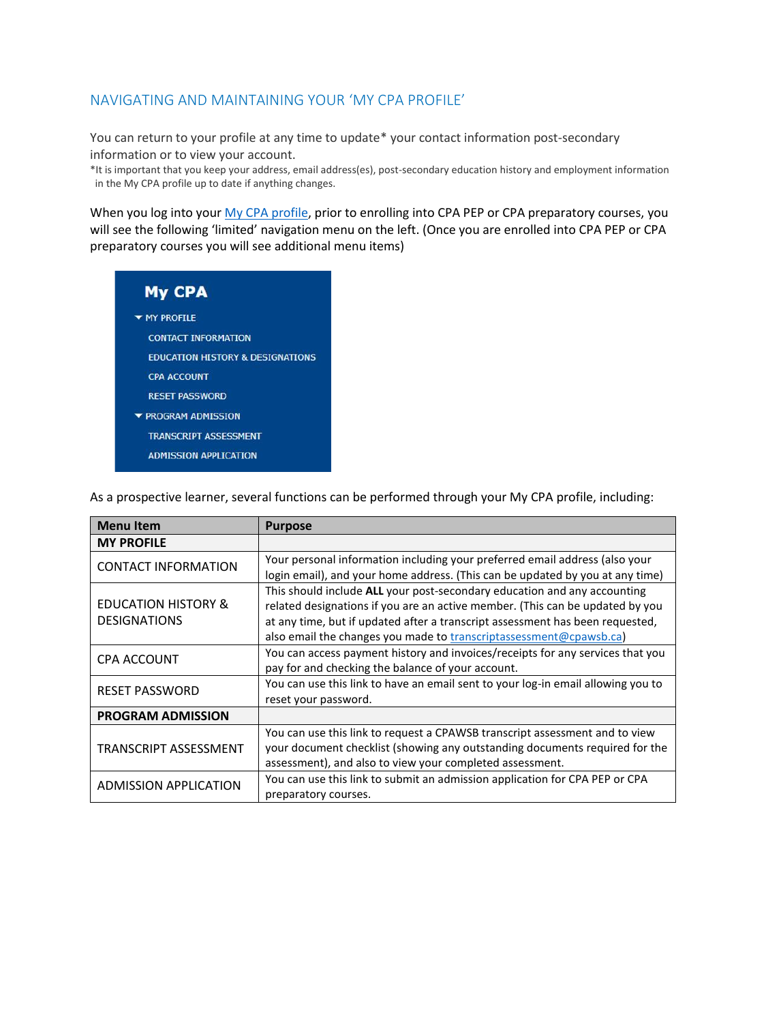### NAVIGATING AND MAINTAINING YOUR 'MY CPA PROFILE'

You can return to your profile at any time to update\* your contact information post-secondary information or to view your account.

\*It is important that you keep your address, email address(es), post-secondary education history and employment information in the My CPA profile up to date if anything changes.

When you log into you[r My CPA profile,](https://my.cpawsb.ca/) prior to enrolling into CPA PEP or CPA preparatory courses, you will see the following 'limited' navigation menu on the left. (Once you are enrolled into CPA PEP or CPA preparatory courses you will see additional menu items)

| <b>My CPA</b>                              |
|--------------------------------------------|
| ▼ MY PROFILE                               |
| <b>CONTACT INFORMATION</b>                 |
| <b>EDUCATION HISTORY &amp; DESIGNATION</b> |
| <b>CPA ACCOUNT</b>                         |
| <b>RESET PASSWORD</b>                      |
| <b>TROGRAM ADMISSION</b>                   |
| <b>TRANSCRIPT ASSESSMENT</b>               |
| ADMISSION APPLICATION                      |

As a prospective learner, several functions can be performed through your My CPA profile, including:

| <b>Menu Item</b>                                      | <b>Purpose</b>                                                                   |
|-------------------------------------------------------|----------------------------------------------------------------------------------|
| <b>MY PROFILE</b>                                     |                                                                                  |
| <b>CONTACT INFORMATION</b>                            | Your personal information including your preferred email address (also your      |
|                                                       | login email), and your home address. (This can be updated by you at any time)    |
| <b>EDUCATION HISTORY &amp;</b><br><b>DESIGNATIONS</b> | This should include ALL your post-secondary education and any accounting         |
|                                                       | related designations if you are an active member. (This can be updated by you    |
|                                                       | at any time, but if updated after a transcript assessment has been requested,    |
|                                                       | also email the changes you made to transcriptassessment@cpawsb.ca)               |
| <b>CPA ACCOUNT</b>                                    | You can access payment history and invoices/receipts for any services that you   |
|                                                       | pay for and checking the balance of your account.                                |
| <b>RESET PASSWORD</b>                                 | You can use this link to have an email sent to your log-in email allowing you to |
|                                                       | reset your password.                                                             |
| <b>PROGRAM ADMISSION</b>                              |                                                                                  |
| TRANSCRIPT ASSESSMENT                                 | You can use this link to request a CPAWSB transcript assessment and to view      |
|                                                       | your document checklist (showing any outstanding documents required for the      |
|                                                       | assessment), and also to view your completed assessment.                         |
| <b>ADMISSION APPLICATION</b>                          | You can use this link to submit an admission application for CPA PEP or CPA      |
|                                                       | preparatory courses.                                                             |